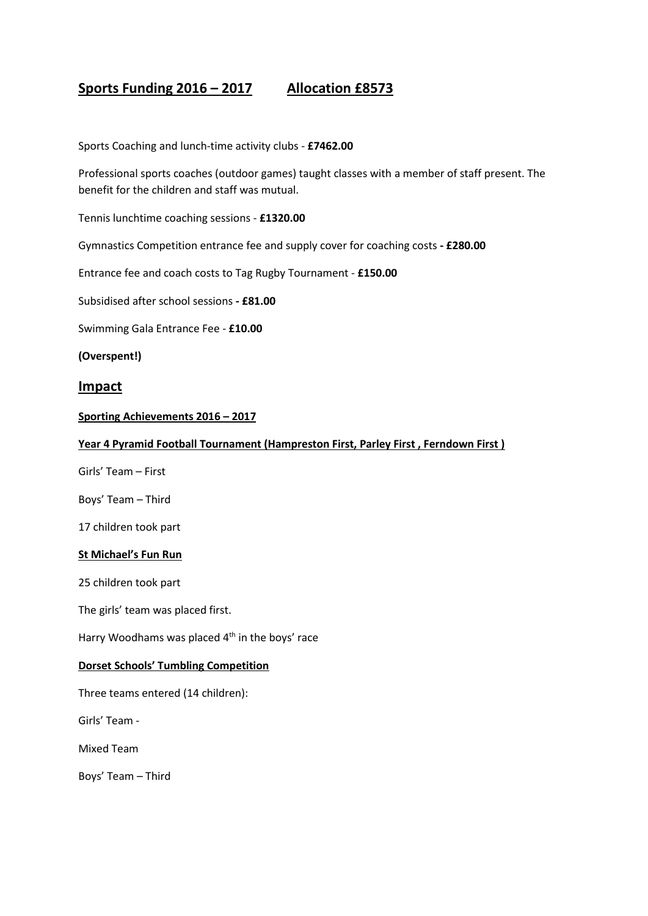# **Sports Funding 2016 – 2017 Allocation £8573**

Sports Coaching and lunch-time activity clubs - **£7462.00**

Professional sports coaches (outdoor games) taught classes with a member of staff present. The benefit for the children and staff was mutual.

Tennis lunchtime coaching sessions - **£1320.00**

Gymnastics Competition entrance fee and supply cover for coaching costs **- £280.00**

Entrance fee and coach costs to Tag Rugby Tournament - **£150.00**

Subsidised after school sessions **- £81.00** 

Swimming Gala Entrance Fee - **£10.00**

**(Overspent!)**

## **Impact**

**Sporting Achievements 2016 – 2017**

#### **Year 4 Pyramid Football Tournament (Hampreston First, Parley First , Ferndown First )**

Girls' Team – First

Boys' Team – Third

17 children took part

#### **St Michael's Fun Run**

25 children took part

The girls' team was placed first.

Harry Woodhams was placed  $4<sup>th</sup>$  in the boys' race

#### **Dorset Schools' Tumbling Competition**

Three teams entered (14 children):

Girls' Team -

Mixed Team

Boys' Team – Third